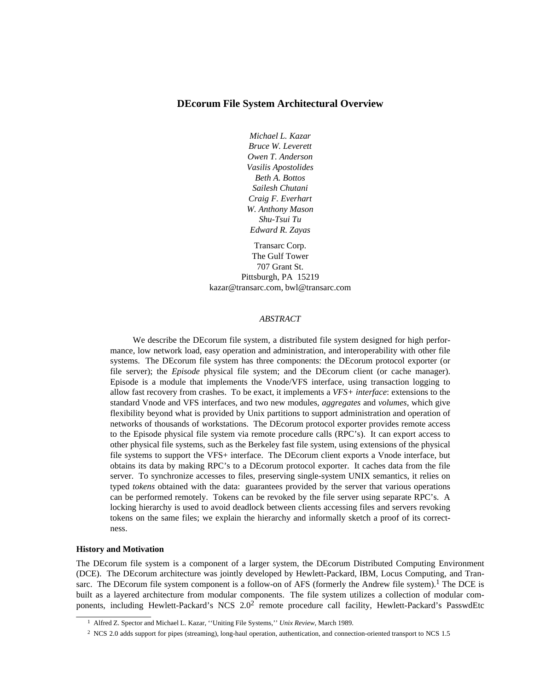## **DEcorum File System Architectural Overview**

*Michael L. Kazar Bruce W. Leverett Owen T. Anderson Vasilis Apostolides Beth A. Bottos Sailesh Chutani Craig F. Everhart W. Anthony Mason Shu-Tsui Tu Edward R. Zayas*

Transarc Corp. The Gulf Tower 707 Grant St. Pittsburgh, PA 15219 kazar@transarc.com, bwl@transarc.com

#### *ABSTRACT*

We describe the DEcorum file system, a distributed file system designed for high performance, low network load, easy operation and administration, and interoperability with other file systems. The DEcorum file system has three components: the DEcorum protocol exporter (or file server); the *Episode* physical file system; and the DEcorum client (or cache manager). Episode is a module that implements the Vnode/VFS interface, using transaction logging to allow fast recovery from crashes. To be exact, it implements a *VFS+ interface*: extensions to the standard Vnode and VFS interfaces, and two new modules, *aggregates* and *volumes*, which give flexibility beyond what is provided by Unix partitions to support administration and operation of networks of thousands of workstations. The DEcorum protocol exporter provides remote access to the Episode physical file system via remote procedure calls (RPC's). It can export access to other physical file systems, such as the Berkeley fast file system, using extensions of the physical file systems to support the VFS+ interface. The DEcorum client exports a Vnode interface, but obtains its data by making RPC's to a DEcorum protocol exporter. It caches data from the file server. To synchronize accesses to files, preserving single-system UNIX semantics, it relies on typed *tokens* obtained with the data: guarantees provided by the server that various operations can be performed remotely. Tokens can be revoked by the file server using separate RPC's. A locking hierarchy is used to avoid deadlock between clients accessing files and servers revoking tokens on the same files; we explain the hierarchy and informally sketch a proof of its correctness.

#### **History and Motivation**

The DEcorum file system is a component of a larger system, the DEcorum Distributed Computing Environment (DCE). The DEcorum architecture was jointly developed by Hewlett-Packard, IBM, Locus Computing, and Transarc. The DEcorum file system component is a follow-on of AFS (formerly the Andrew file system).<sup>1</sup> The DCE is built as a layered architecture from modular components. The file system utilizes a collection of modular components, including Hewlett-Packard's NCS 2.0<sup>2</sup> remote procedure call facility, Hewlett-Packard's PasswdEtc

<sup>1</sup> Alfred Z. Spector and Michael L. Kazar, ''Uniting File Systems,'' *Unix Review*, March 1989.

<sup>2</sup> NCS 2.0 adds support for pipes (streaming), long-haul operation, authentication, and connection-oriented transport to NCS 1.5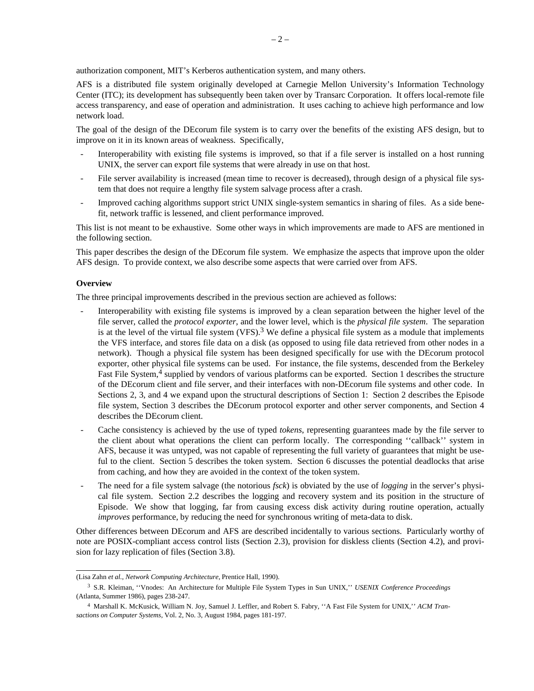authorization component, MIT's Kerberos authentication system, and many others.

AFS is a distributed file system originally developed at Carnegie Mellon University's Information Technology Center (ITC); its development has subsequently been taken over by Transarc Corporation. It offers local-remote file access transparency, and ease of operation and administration. It uses caching to achieve high performance and low network load.

The goal of the design of the DEcorum file system is to carry over the benefits of the existing AFS design, but to improve on it in its known areas of weakness. Specifically,

- Interoperability with existing file systems is improved, so that if a file server is installed on a host running UNIX, the server can export file systems that were already in use on that host.
- File server availability is increased (mean time to recover is decreased), through design of a physical file system that does not require a lengthy file system salvage process after a crash.
- Improved caching algorithms support strict UNIX single-system semantics in sharing of files. As a side benefit, network traffic is lessened, and client performance improved.

This list is not meant to be exhaustive. Some other ways in which improvements are made to AFS are mentioned in the following section.

This paper describes the design of the DEcorum file system. We emphasize the aspects that improve upon the older AFS design. To provide context, we also describe some aspects that were carried over from AFS.

#### **Overview**

The three principal improvements described in the previous section are achieved as follows:

- Interoperability with existing file systems is improved by a clean separation between the higher level of the file server, called the *protocol exporter*, and the lower level, which is the *physical file system*. The separation is at the level of the virtual file system (VFS).<sup>3</sup> We define a physical file system as a module that implements the VFS interface, and stores file data on a disk (as opposed to using file data retrieved from other nodes in a network). Though a physical file system has been designed specifically for use with the DEcorum protocol exporter, other physical file systems can be used. For instance, the file systems, descended from the Berkeley Fast File System,<sup>4</sup> supplied by vendors of various platforms can be exported. Section 1 describes the structure of the DEcorum client and file server, and their interfaces with non-DEcorum file systems and other code. In Sections 2, 3, and 4 we expand upon the structural descriptions of Section 1: Section 2 describes the Episode file system, Section 3 describes the DEcorum protocol exporter and other server components, and Section 4 describes the DEcorum client.
- Cache consistency is achieved by the use of typed *tokens*, representing guarantees made by the file server to the client about what operations the client can perform locally. The corresponding ''callback'' system in AFS, because it was untyped, was not capable of representing the full variety of guarantees that might be useful to the client. Section 5 describes the token system. Section 6 discusses the potential deadlocks that arise from caching, and how they are avoided in the context of the token system.
- The need for a file system salvage (the notorious *fsck*) is obviated by the use of *logging* in the server's physical file system. Section 2.2 describes the logging and recovery system and its position in the structure of Episode. We show that logging, far from causing excess disk activity during routine operation, actually *improves* performance, by reducing the need for synchronous writing of meta-data to disk.

Other differences between DEcorum and AFS are described incidentally to various sections. Particularly worthy of note are POSIX-compliant access control lists (Section 2.3), provision for diskless clients (Section 4.2), and provision for lazy replication of files (Section 3.8).

<sup>(</sup>Lisa Zahn *et al.*, *Network Computing Architecture*, Prentice Hall, 1990).

<sup>3</sup> S.R. Kleiman, ''Vnodes: An Architecture for Multiple File System Types in Sun UNIX,'' *USENIX Conference Proceedings* (Atlanta, Summer 1986), pages 238-247.

<sup>4</sup> Marshall K. McKusick, William N. Joy, Samuel J. Leffler, and Robert S. Fabry, ''A Fast File System for UNIX,'' *ACM Transactions on Computer Systems*, Vol. 2, No. 3, August 1984, pages 181-197.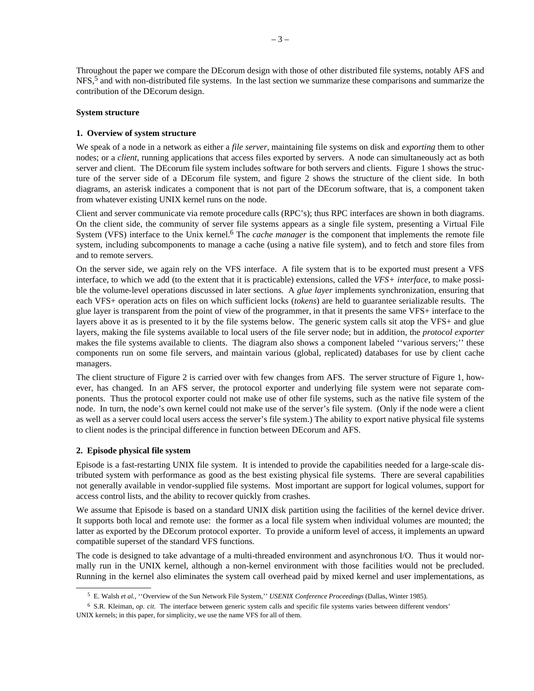Throughout the paper we compare the DEcorum design with those of other distributed file systems, notably AFS and  $NFS<sub>2</sub>$ <sup>5</sup> and with non-distributed file systems. In the last section we summarize these comparisons and summarize the contribution of the DEcorum design.

#### **System structure**

#### **1. Overview of system structure**

We speak of a node in a network as either a *file server*, maintaining file systems on disk and *exporting* them to other nodes; or a *client*, running applications that access files exported by servers. A node can simultaneously act as both server and client. The DEcorum file system includes software for both servers and clients. Figure 1 shows the structure of the server side of a DEcorum file system, and figure 2 shows the structure of the client side. In both diagrams, an asterisk indicates a component that is not part of the DEcorum software, that is, a component taken from whatever existing UNIX kernel runs on the node.

Client and server communicate via remote procedure calls (RPC's); thus RPC interfaces are shown in both diagrams. On the client side, the community of server file systems appears as a single file system, presenting a Virtual File System (VFS) interface to the Unix kernel.<sup>6</sup> The *cache manager* is the component that implements the remote file system, including subcomponents to manage a cache (using a native file system), and to fetch and store files from and to remote servers.

On the server side, we again rely on the VFS interface. A file system that is to be exported must present a VFS interface, to which we add (to the extent that it is practicable) extensions, called the *VFS+ interface*, to make possible the volume-level operations discussed in later sections. A *glue layer* implements synchronization, ensuring that each VFS+ operation acts on files on which sufficient locks (*tokens*) are held to guarantee serializable results. The glue layer is transparent from the point of view of the programmer, in that it presents the same VFS+ interface to the layers above it as is presented to it by the file systems below. The generic system calls sit atop the VFS+ and glue layers, making the file systems available to local users of the file server node; but in addition, the *protocol exporter* makes the file systems available to clients. The diagram also shows a component labeled ''various servers;'' these components run on some file servers, and maintain various (global, replicated) databases for use by client cache managers.

The client structure of Figure 2 is carried over with few changes from AFS. The server structure of Figure 1, however, has changed. In an AFS server, the protocol exporter and underlying file system were not separate components. Thus the protocol exporter could not make use of other file systems, such as the native file system of the node. In turn, the node's own kernel could not make use of the server's file system. (Only if the node were a client as well as a server could local users access the server's file system.) The ability to export native physical file systems to client nodes is the principal difference in function between DEcorum and AFS.

## **2. Episode physical file system**

Episode is a fast-restarting UNIX file system. It is intended to provide the capabilities needed for a large-scale distributed system with performance as good as the best existing physical file systems. There are several capabilities not generally available in vendor-supplied file systems. Most important are support for logical volumes, support for access control lists, and the ability to recover quickly from crashes.

We assume that Episode is based on a standard UNIX disk partition using the facilities of the kernel device driver. It supports both local and remote use: the former as a local file system when individual volumes are mounted; the latter as exported by the DEcorum protocol exporter. To provide a uniform level of access, it implements an upward compatible superset of the standard VFS functions.

The code is designed to take advantage of a multi-threaded environment and asynchronous I/O. Thus it would normally run in the UNIX kernel, although a non-kernel environment with those facilities would not be precluded. Running in the kernel also eliminates the system call overhead paid by mixed kernel and user implementations, as

<sup>5</sup> E. Walsh *et al.*, ''Overview of the Sun Network File System,'' *USENIX Conference Proceedings* (Dallas, Winter 1985).

<sup>6</sup> S.R. Kleiman, *op. cit.* The interface between generic system calls and specific file systems varies between different vendors' UNIX kernels; in this paper, for simplicity, we use the name VFS for all of them.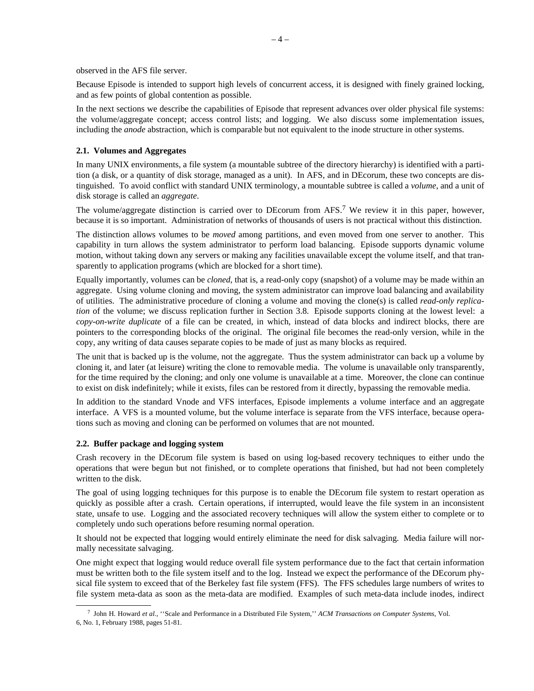observed in the AFS file server.

Because Episode is intended to support high levels of concurrent access, it is designed with finely grained locking, and as few points of global contention as possible.

In the next sections we describe the capabilities of Episode that represent advances over older physical file systems: the volume/aggregate concept; access control lists; and logging. We also discuss some implementation issues, including the *anode* abstraction, which is comparable but not equivalent to the inode structure in other systems.

## **2.1. Volumes and Aggregates**

In many UNIX environments, a file system (a mountable subtree of the directory hierarchy) is identified with a partition (a disk, or a quantity of disk storage, managed as a unit). In AFS, and in DEcorum, these two concepts are distinguished. To avoid conflict with standard UNIX terminology, a mountable subtree is called a *volume*, and a unit of disk storage is called an *aggregate*.

The volume/aggregate distinction is carried over to DEcorum from AFS.<sup>7</sup> We review it in this paper, however, because it is so important. Administration of networks of thousands of users is not practical without this distinction.

The distinction allows volumes to be *moved* among partitions, and even moved from one server to another. This capability in turn allows the system administrator to perform load balancing. Episode supports dynamic volume motion, without taking down any servers or making any facilities unavailable except the volume itself, and that transparently to application programs (which are blocked for a short time).

Equally importantly, volumes can be *cloned*, that is, a read-only copy (snapshot) of a volume may be made within an aggregate. Using volume cloning and moving, the system administrator can improve load balancing and availability of utilities. The administrative procedure of cloning a volume and moving the clone(s) is called *read-only replication* of the volume; we discuss replication further in Section 3.8. Episode supports cloning at the lowest level: a *copy-on-write duplicate* of a file can be created, in which, instead of data blocks and indirect blocks, there are pointers to the corresponding blocks of the original. The original file becomes the read-only version, while in the copy, any writing of data causes separate copies to be made of just as many blocks as required.

The unit that is backed up is the volume, not the aggregate. Thus the system administrator can back up a volume by cloning it, and later (at leisure) writing the clone to removable media. The volume is unavailable only transparently, for the time required by the cloning; and only one volume is unavailable at a time. Moreover, the clone can continue to exist on disk indefinitely; while it exists, files can be restored from it directly, bypassing the removable media.

In addition to the standard Vnode and VFS interfaces, Episode implements a volume interface and an aggregate interface. A VFS is a mounted volume, but the volume interface is separate from the VFS interface, because operations such as moving and cloning can be performed on volumes that are not mounted.

## **2.2. Buffer package and logging system**

Crash recovery in the DEcorum file system is based on using log-based recovery techniques to either undo the operations that were begun but not finished, or to complete operations that finished, but had not been completely written to the disk.

The goal of using logging techniques for this purpose is to enable the DEcorum file system to restart operation as quickly as possible after a crash. Certain operations, if interrupted, would leave the file system in an inconsistent state, unsafe to use. Logging and the associated recovery techniques will allow the system either to complete or to completely undo such operations before resuming normal operation.

It should not be expected that logging would entirely eliminate the need for disk salvaging. Media failure will normally necessitate salvaging.

One might expect that logging would reduce overall file system performance due to the fact that certain information must be written both to the file system itself and to the log. Instead we expect the performance of the DEcorum physical file system to exceed that of the Berkeley fast file system (FFS). The FFS schedules large numbers of writes to file system meta-data as soon as the meta-data are modified. Examples of such meta-data include inodes, indirect

<sup>7</sup> John H. Howard *et al.*, ''Scale and Performance in a Distributed File System,'' *ACM Transactions on Computer Systems*, Vol. 6, No. 1, February 1988, pages 51-81.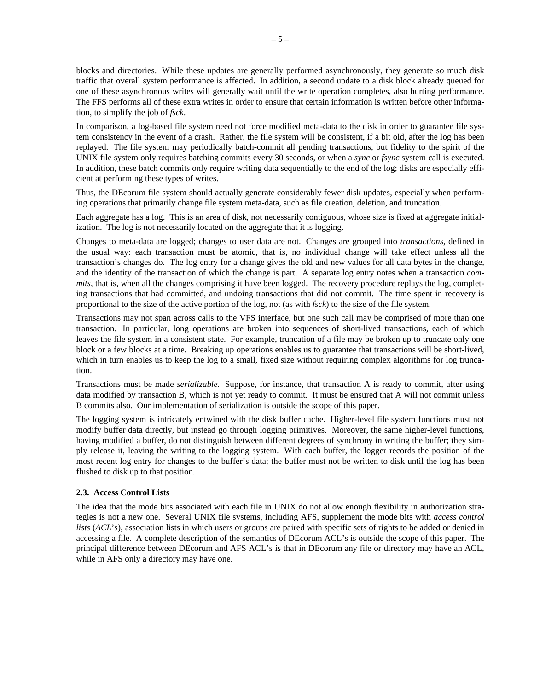blocks and directories. While these updates are generally performed asynchronously, they generate so much disk traffic that overall system performance is affected. In addition, a second update to a disk block already queued for one of these asynchronous writes will generally wait until the write operation completes, also hurting performance. The FFS performs all of these extra writes in order to ensure that certain information is written before other information, to simplify the job of *fsck*.

In comparison, a log-based file system need not force modified meta-data to the disk in order to guarantee file system consistency in the event of a crash. Rather, the file system will be consistent, if a bit old, after the log has been replayed. The file system may periodically batch-commit all pending transactions, but fidelity to the spirit of the UNIX file system only requires batching commits every 30 seconds, or when a *sync* or *fsync* system call is executed. In addition, these batch commits only require writing data sequentially to the end of the log; disks are especially efficient at performing these types of writes.

Thus, the DEcorum file system should actually generate considerably fewer disk updates, especially when performing operations that primarily change file system meta-data, such as file creation, deletion, and truncation.

Each aggregate has a log. This is an area of disk, not necessarily contiguous, whose size is fixed at aggregate initialization. The log is not necessarily located on the aggregate that it is logging.

Changes to meta-data are logged; changes to user data are not. Changes are grouped into *transactions*, defined in the usual way: each transaction must be atomic, that is, no individual change will take effect unless all the transaction's changes do. The log entry for a change gives the old and new values for all data bytes in the change, and the identity of the transaction of which the change is part. A separate log entry notes when a transaction *commits*, that is, when all the changes comprising it have been logged. The recovery procedure replays the log, completing transactions that had committed, and undoing transactions that did not commit. The time spent in recovery is proportional to the size of the active portion of the log, not (as with *fsck*) to the size of the file system.

Transactions may not span across calls to the VFS interface, but one such call may be comprised of more than one transaction. In particular, long operations are broken into sequences of short-lived transactions, each of which leaves the file system in a consistent state. For example, truncation of a file may be broken up to truncate only one block or a few blocks at a time. Breaking up operations enables us to guarantee that transactions will be short-lived, which in turn enables us to keep the log to a small, fixed size without requiring complex algorithms for log truncation.

Transactions must be made *serializable*. Suppose, for instance, that transaction A is ready to commit, after using data modified by transaction B, which is not yet ready to commit. It must be ensured that A will not commit unless B commits also. Our implementation of serialization is outside the scope of this paper.

The logging system is intricately entwined with the disk buffer cache. Higher-level file system functions must not modify buffer data directly, but instead go through logging primitives. Moreover, the same higher-level functions, having modified a buffer, do not distinguish between different degrees of synchrony in writing the buffer; they simply release it, leaving the writing to the logging system. With each buffer, the logger records the position of the most recent log entry for changes to the buffer's data; the buffer must not be written to disk until the log has been flushed to disk up to that position.

## **2.3. Access Control Lists**

The idea that the mode bits associated with each file in UNIX do not allow enough flexibility in authorization strategies is not a new one. Several UNIX file systems, including AFS, supplement the mode bits with *access control lists* (*ACL*'s), association lists in which users or groups are paired with specific sets of rights to be added or denied in accessing a file. A complete description of the semantics of DEcorum ACL's is outside the scope of this paper. The principal difference between DEcorum and AFS ACL's is that in DEcorum any file or directory may have an ACL, while in AFS only a directory may have one.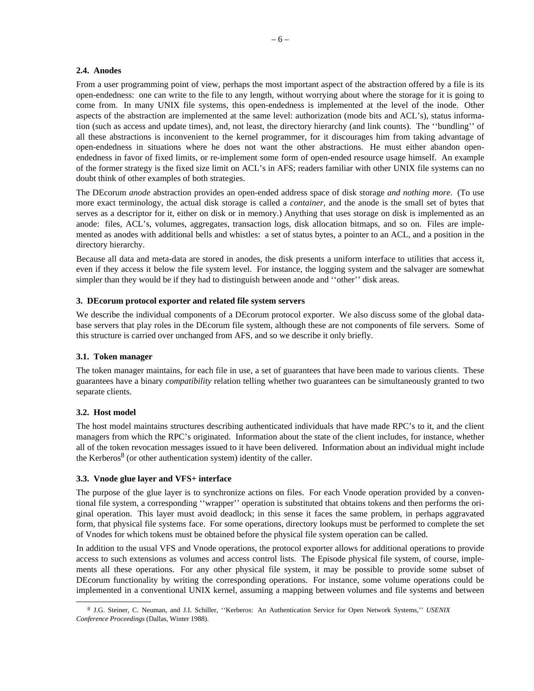#### **2.4. Anodes**

From a user programming point of view, perhaps the most important aspect of the abstraction offered by a file is its open-endedness: one can write to the file to any length, without worrying about where the storage for it is going to come from. In many UNIX file systems, this open-endedness is implemented at the level of the inode. Other aspects of the abstraction are implemented at the same level: authorization (mode bits and ACL's), status information (such as access and update times), and, not least, the directory hierarchy (and link counts). The ''bundling'' of all these abstractions is inconvenient to the kernel programmer, for it discourages him from taking advantage of open-endedness in situations where he does not want the other abstractions. He must either abandon openendedness in favor of fixed limits, or re-implement some form of open-ended resource usage himself. An example of the former strategy is the fixed size limit on ACL's in AFS; readers familiar with other UNIX file systems can no doubt think of other examples of both strategies.

The DEcorum *anode* abstraction provides an open-ended address space of disk storage *and nothing more*. (To use more exact terminology, the actual disk storage is called a *container*, and the anode is the small set of bytes that serves as a descriptor for it, either on disk or in memory.) Anything that uses storage on disk is implemented as an anode: files, ACL's, volumes, aggregates, transaction logs, disk allocation bitmaps, and so on. Files are implemented as anodes with additional bells and whistles: a set of status bytes, a pointer to an ACL, and a position in the directory hierarchy.

Because all data and meta-data are stored in anodes, the disk presents a uniform interface to utilities that access it, even if they access it below the file system level. For instance, the logging system and the salvager are somewhat simpler than they would be if they had to distinguish between anode and ''other'' disk areas.

#### **3. DEcorum protocol exporter and related file system servers**

We describe the individual components of a DEcorum protocol exporter. We also discuss some of the global database servers that play roles in the DEcorum file system, although these are not components of file servers. Some of this structure is carried over unchanged from AFS, and so we describe it only briefly.

#### **3.1. Token manager**

The token manager maintains, for each file in use, a set of guarantees that have been made to various clients. These guarantees have a binary *compatibility* relation telling whether two guarantees can be simultaneously granted to two separate clients.

## **3.2. Host model**

The host model maintains structures describing authenticated individuals that have made RPC's to it, and the client managers from which the RPC's originated. Information about the state of the client includes, for instance, whether all of the token revocation messages issued to it have been delivered. Information about an individual might include the Kerberos<sup>8</sup> (or other authentication system) identity of the caller.

#### **3.3. Vnode glue layer and VFS+ interface**

The purpose of the glue layer is to synchronize actions on files. For each Vnode operation provided by a conventional file system, a corresponding ''wrapper'' operation is substituted that obtains tokens and then performs the original operation. This layer must avoid deadlock; in this sense it faces the same problem, in perhaps aggravated form, that physical file systems face. For some operations, directory lookups must be performed to complete the set of Vnodes for which tokens must be obtained before the physical file system operation can be called.

In addition to the usual VFS and Vnode operations, the protocol exporter allows for additional operations to provide access to such extensions as volumes and access control lists. The Episode physical file system, of course, implements all these operations. For any other physical file system, it may be possible to provide some subset of DEcorum functionality by writing the corresponding operations. For instance, some volume operations could be implemented in a conventional UNIX kernel, assuming a mapping between volumes and file systems and between

<sup>8</sup> J.G. Steiner, C. Neuman, and J.I. Schiller, ''Kerberos: An Authentication Service for Open Network Systems,'' *USENIX Conference Proceedings* (Dallas, Winter 1988).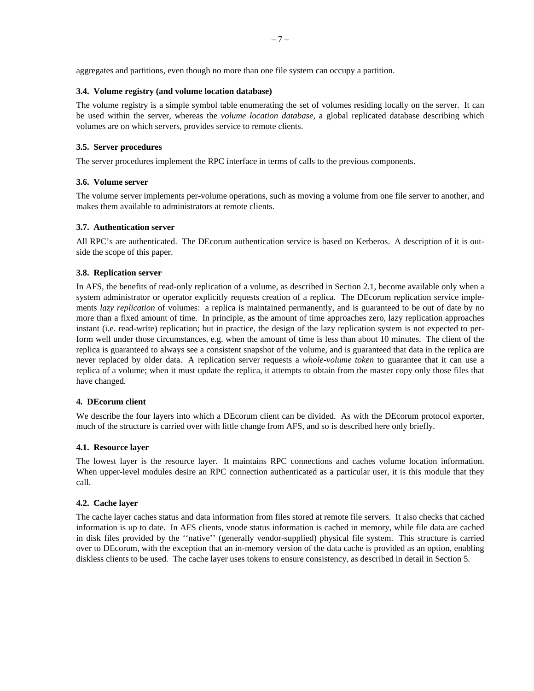aggregates and partitions, even though no more than one file system can occupy a partition.

# **3.4. Volume registry (and volume location database)**

The volume registry is a simple symbol table enumerating the set of volumes residing locally on the server. It can be used within the server, whereas the *volume location database*, a global replicated database describing which volumes are on which servers, provides service to remote clients.

# **3.5. Server procedures**

The server procedures implement the RPC interface in terms of calls to the previous components.

# **3.6. Volume server**

The volume server implements per-volume operations, such as moving a volume from one file server to another, and makes them available to administrators at remote clients.

# **3.7. Authentication server**

All RPC's are authenticated. The DEcorum authentication service is based on Kerberos. A description of it is outside the scope of this paper.

# **3.8. Replication server**

In AFS, the benefits of read-only replication of a volume, as described in Section 2.1, become available only when a system administrator or operator explicitly requests creation of a replica. The DEcorum replication service implements *lazy replication* of volumes: a replica is maintained permanently, and is guaranteed to be out of date by no more than a fixed amount of time. In principle, as the amount of time approaches zero, lazy replication approaches instant (i.e. read-write) replication; but in practice, the design of the lazy replication system is not expected to perform well under those circumstances, e.g. when the amount of time is less than about 10 minutes. The client of the replica is guaranteed to always see a consistent snapshot of the volume, and is guaranteed that data in the replica are never replaced by older data. A replication server requests a *whole-volume token* to guarantee that it can use a replica of a volume; when it must update the replica, it attempts to obtain from the master copy only those files that have changed.

## **4. DEcorum client**

We describe the four layers into which a DEcorum client can be divided. As with the DEcorum protocol exporter, much of the structure is carried over with little change from AFS, and so is described here only briefly.

## **4.1. Resource layer**

The lowest layer is the resource layer. It maintains RPC connections and caches volume location information. When upper-level modules desire an RPC connection authenticated as a particular user, it is this module that they call.

## **4.2. Cache layer**

The cache layer caches status and data information from files stored at remote file servers. It also checks that cached information is up to date. In AFS clients, vnode status information is cached in memory, while file data are cached in disk files provided by the ''native'' (generally vendor-supplied) physical file system. This structure is carried over to DEcorum, with the exception that an in-memory version of the data cache is provided as an option, enabling diskless clients to be used. The cache layer uses tokens to ensure consistency, as described in detail in Section 5.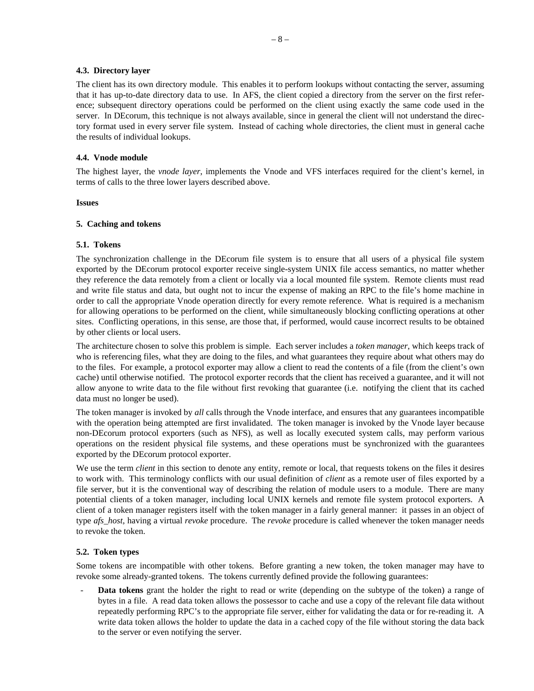## **4.3. Directory layer**

The client has its own directory module. This enables it to perform lookups without contacting the server, assuming that it has up-to-date directory data to use. In AFS, the client copied a directory from the server on the first reference; subsequent directory operations could be performed on the client using exactly the same code used in the server. In DEcorum, this technique is not always available, since in general the client will not understand the directory format used in every server file system. Instead of caching whole directories, the client must in general cache the results of individual lookups.

# **4.4. Vnode module**

The highest layer, the *vnode layer*, implements the Vnode and VFS interfaces required for the client's kernel, in terms of calls to the three lower layers described above.

## **Issues**

# **5. Caching and tokens**

# **5.1. Tokens**

The synchronization challenge in the DEcorum file system is to ensure that all users of a physical file system exported by the DEcorum protocol exporter receive single-system UNIX file access semantics, no matter whether they reference the data remotely from a client or locally via a local mounted file system. Remote clients must read and write file status and data, but ought not to incur the expense of making an RPC to the file's home machine in order to call the appropriate Vnode operation directly for every remote reference. What is required is a mechanism for allowing operations to be performed on the client, while simultaneously blocking conflicting operations at other sites. Conflicting operations, in this sense, are those that, if performed, would cause incorrect results to be obtained by other clients or local users.

The architecture chosen to solve this problem is simple. Each server includes a *token manager*, which keeps track of who is referencing files, what they are doing to the files, and what guarantees they require about what others may do to the files. For example, a protocol exporter may allow a client to read the contents of a file (from the client's own cache) until otherwise notified. The protocol exporter records that the client has received a guarantee, and it will not allow anyone to write data to the file without first revoking that guarantee (i.e. notifying the client that its cached data must no longer be used).

The token manager is invoked by *all* calls through the Vnode interface, and ensures that any guarantees incompatible with the operation being attempted are first invalidated. The token manager is invoked by the Vnode layer because non-DEcorum protocol exporters (such as NFS), as well as locally executed system calls, may perform various operations on the resident physical file systems, and these operations must be synchronized with the guarantees exported by the DEcorum protocol exporter.

We use the term *client* in this section to denote any entity, remote or local, that requests tokens on the files it desires to work with. This terminology conflicts with our usual definition of *client* as a remote user of files exported by a file server, but it is the conventional way of describing the relation of module users to a module. There are many potential clients of a token manager, including local UNIX kernels and remote file system protocol exporters. A client of a token manager registers itself with the token manager in a fairly general manner: it passes in an object of type *afs\_host*, having a virtual *revoke* procedure. The *revoke* procedure is called whenever the token manager needs to revoke the token.

# **5.2. Token types**

Some tokens are incompatible with other tokens. Before granting a new token, the token manager may have to revoke some already-granted tokens. The tokens currently defined provide the following guarantees:

Data tokens grant the holder the right to read or write (depending on the subtype of the token) a range of bytes in a file. A read data token allows the possessor to cache and use a copy of the relevant file data without repeatedly performing RPC's to the appropriate file server, either for validating the data or for re-reading it. A write data token allows the holder to update the data in a cached copy of the file without storing the data back to the server or even notifying the server.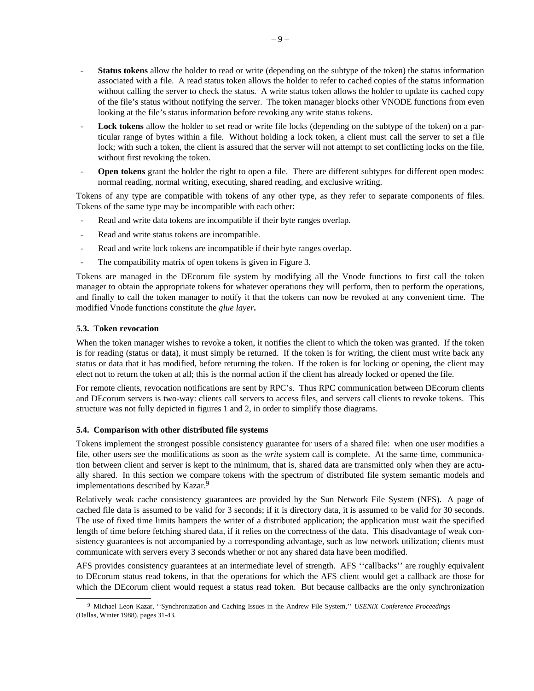- **Status tokens** allow the holder to read or write (depending on the subtype of the token) the status information associated with a file. A read status token allows the holder to refer to cached copies of the status information without calling the server to check the status. A write status token allows the holder to update its cached copy of the file's status without notifying the server. The token manager blocks other VNODE functions from even looking at the file's status information before revoking any write status tokens.
- Lock tokens allow the holder to set read or write file locks (depending on the subtype of the token) on a particular range of bytes within a file. Without holding a lock token, a client must call the server to set a file lock; with such a token, the client is assured that the server will not attempt to set conflicting locks on the file, without first revoking the token.
- **Open tokens** grant the holder the right to open a file. There are different subtypes for different open modes: normal reading, normal writing, executing, shared reading, and exclusive writing.

Tokens of any type are compatible with tokens of any other type, as they refer to separate components of files. Tokens of the same type may be incompatible with each other:

- Read and write data tokens are incompatible if their byte ranges overlap.
- Read and write status tokens are incompatible.
- Read and write lock tokens are incompatible if their byte ranges overlap.
- The compatibility matrix of open tokens is given in Figure 3.

Tokens are managed in the DEcorum file system by modifying all the Vnode functions to first call the token manager to obtain the appropriate tokens for whatever operations they will perform, then to perform the operations, and finally to call the token manager to notify it that the tokens can now be revoked at any convenient time. The modified Vnode functions constitute the *glue layer***.**

# **5.3. Token revocation**

When the token manager wishes to revoke a token, it notifies the client to which the token was granted. If the token is for reading (status or data), it must simply be returned. If the token is for writing, the client must write back any status or data that it has modified, before returning the token. If the token is for locking or opening, the client may elect not to return the token at all; this is the normal action if the client has already locked or opened the file.

For remote clients, revocation notifications are sent by RPC's. Thus RPC communication between DEcorum clients and DEcorum servers is two-way: clients call servers to access files, and servers call clients to revoke tokens. This structure was not fully depicted in figures 1 and 2, in order to simplify those diagrams.

## **5.4. Comparison with other distributed file systems**

Tokens implement the strongest possible consistency guarantee for users of a shared file: when one user modifies a file, other users see the modifications as soon as the *write* system call is complete. At the same time, communication between client and server is kept to the minimum, that is, shared data are transmitted only when they are actually shared. In this section we compare tokens with the spectrum of distributed file system semantic models and implementations described by Kazar.<sup>9</sup>

Relatively weak cache consistency guarantees are provided by the Sun Network File System (NFS). A page of cached file data is assumed to be valid for 3 seconds; if it is directory data, it is assumed to be valid for 30 seconds. The use of fixed time limits hampers the writer of a distributed application; the application must wait the specified length of time before fetching shared data, if it relies on the correctness of the data. This disadvantage of weak consistency guarantees is not accompanied by a corresponding advantage, such as low network utilization; clients must communicate with servers every 3 seconds whether or not any shared data have been modified.

AFS provides consistency guarantees at an intermediate level of strength. AFS ''callbacks'' are roughly equivalent to DEcorum status read tokens, in that the operations for which the AFS client would get a callback are those for which the DEcorum client would request a status read token. But because callbacks are the only synchronization

<sup>9</sup> Michael Leon Kazar, ''Synchronization and Caching Issues in the Andrew File System,'' *USENIX Conference Proceedings* (Dallas, Winter 1988), pages 31-43.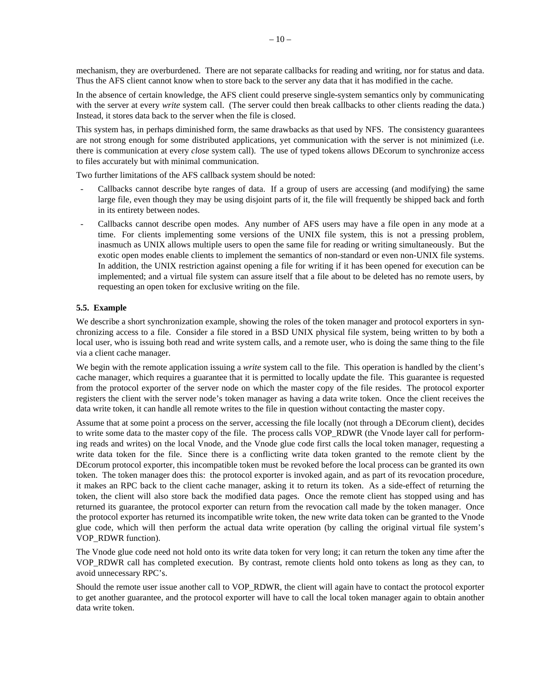mechanism, they are overburdened. There are not separate callbacks for reading and writing, nor for status and data. Thus the AFS client cannot know when to store back to the server any data that it has modified in the cache.

In the absence of certain knowledge, the AFS client could preserve single-system semantics only by communicating with the server at every *write* system call. (The server could then break callbacks to other clients reading the data.) Instead, it stores data back to the server when the file is closed.

This system has, in perhaps diminished form, the same drawbacks as that used by NFS. The consistency guarantees are not strong enough for some distributed applications, yet communication with the server is not minimized (i.e. there is communication at every *close* system call). The use of typed tokens allows DEcorum to synchronize access to files accurately but with minimal communication.

Two further limitations of the AFS callback system should be noted:

- Callbacks cannot describe byte ranges of data. If a group of users are accessing (and modifying) the same large file, even though they may be using disjoint parts of it, the file will frequently be shipped back and forth in its entirety between nodes.
- Callbacks cannot describe open modes. Any number of AFS users may have a file open in any mode at a time. For clients implementing some versions of the UNIX file system, this is not a pressing problem, inasmuch as UNIX allows multiple users to open the same file for reading or writing simultaneously. But the exotic open modes enable clients to implement the semantics of non-standard or even non-UNIX file systems. In addition, the UNIX restriction against opening a file for writing if it has been opened for execution can be implemented; and a virtual file system can assure itself that a file about to be deleted has no remote users, by requesting an open token for exclusive writing on the file.

## **5.5. Example**

We describe a short synchronization example, showing the roles of the token manager and protocol exporters in synchronizing access to a file. Consider a file stored in a BSD UNIX physical file system, being written to by both a local user, who is issuing both read and write system calls, and a remote user, who is doing the same thing to the file via a client cache manager.

We begin with the remote application issuing a *write* system call to the file. This operation is handled by the client's cache manager, which requires a guarantee that it is permitted to locally update the file. This guarantee is requested from the protocol exporter of the server node on which the master copy of the file resides. The protocol exporter registers the client with the server node's token manager as having a data write token. Once the client receives the data write token, it can handle all remote writes to the file in question without contacting the master copy.

Assume that at some point a process on the server, accessing the file locally (not through a DEcorum client), decides to write some data to the master copy of the file. The process calls VOP\_RDWR (the Vnode layer call for performing reads and writes) on the local Vnode, and the Vnode glue code first calls the local token manager, requesting a write data token for the file. Since there is a conflicting write data token granted to the remote client by the DEcorum protocol exporter, this incompatible token must be revoked before the local process can be granted its own token. The token manager does this: the protocol exporter is invoked again, and as part of its revocation procedure, it makes an RPC back to the client cache manager, asking it to return its token. As a side-effect of returning the token, the client will also store back the modified data pages. Once the remote client has stopped using and has returned its guarantee, the protocol exporter can return from the revocation call made by the token manager. Once the protocol exporter has returned its incompatible write token, the new write data token can be granted to the Vnode glue code, which will then perform the actual data write operation (by calling the original virtual file system's VOP\_RDWR function).

The Vnode glue code need not hold onto its write data token for very long; it can return the token any time after the VOP\_RDWR call has completed execution. By contrast, remote clients hold onto tokens as long as they can, to avoid unnecessary RPC's.

Should the remote user issue another call to VOP\_RDWR, the client will again have to contact the protocol exporter to get another guarantee, and the protocol exporter will have to call the local token manager again to obtain another data write token.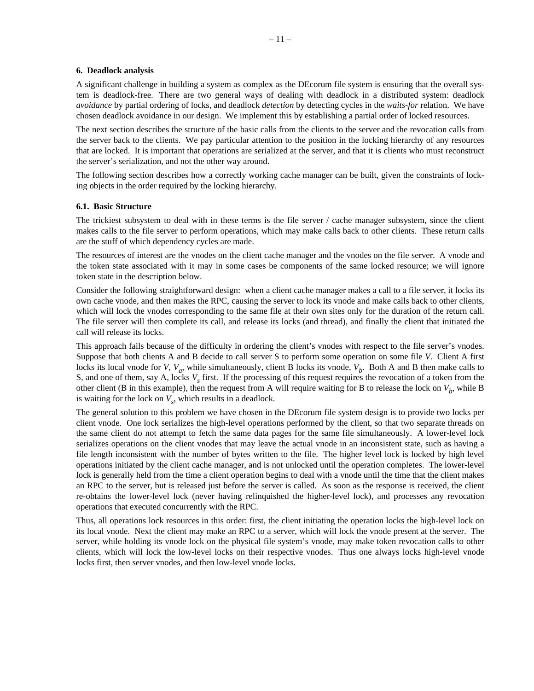#### **6. Deadlock analysis**

A significant challenge in building a system as complex as the DEcorum file system is ensuring that the overall system is deadlock-free. There are two general ways of dealing with deadlock in a distributed system: deadlock *avoidance* by partial ordering of locks, and deadlock *detection* by detecting cycles in the *waits-for* relation. We have chosen deadlock avoidance in our design. We implement this by establishing a partial order of locked resources.

The next section describes the structure of the basic calls from the clients to the server and the revocation calls from the server back to the clients. We pay particular attention to the position in the locking hierarchy of any resources that are locked. It is important that operations are serialized at the server, and that it is clients who must reconstruct the server's serialization, and not the other way around.

The following section describes how a correctly working cache manager can be built, given the constraints of locking objects in the order required by the locking hierarchy.

#### **6.1. Basic Structure**

The trickiest subsystem to deal with in these terms is the file server / cache manager subsystem, since the client makes calls to the file server to perform operations, which may make calls back to other clients. These return calls are the stuff of which dependency cycles are made.

The resources of interest are the vnodes on the client cache manager and the vnodes on the file server. A vnode and the token state associated with it may in some cases be components of the same locked resource; we will ignore token state in the description below.

Consider the following straightforward design: when a client cache manager makes a call to a file server, it locks its own cache vnode, and then makes the RPC, causing the server to lock its vnode and make calls back to other clients, which will lock the vnodes corresponding to the same file at their own sites only for the duration of the return call. The file server will then complete its call, and release its locks (and thread), and finally the client that initiated the call will release its locks.

This approach fails because of the difficulty in ordering the client's vnodes with respect to the file server's vnodes. Suppose that both clients A and B decide to call server S to perform some operation on some file *V*. Client A first locks its local vnode for *V*,  $V_a$ , while simultaneously, client B locks its vnode,  $V_b$ . Both A and B then make calls to S, and one of them, say A, locks  $V_s$  first. If the processing of this request requires the revocation of a token from the other client (B in this example), then the request from A will require waiting for B to release the lock on  $V<sub>b</sub>$ , while B is waiting for the lock on  $V_s$ , which results in a deadlock.

The general solution to this problem we have chosen in the DEcorum file system design is to provide two locks per client vnode. One lock serializes the high-level operations performed by the client, so that two separate threads on the same client do not attempt to fetch the same data pages for the same file simultaneously. A lower-level lock serializes operations on the client vnodes that may leave the actual vnode in an inconsistent state, such as having a file length inconsistent with the number of bytes written to the file. The higher level lock is locked by high level operations initiated by the client cache manager, and is not unlocked until the operation completes. The lower-level lock is generally held from the time a client operation begins to deal with a vnode until the time that the client makes an RPC to the server, but is released just before the server is called. As soon as the response is received, the client re-obtains the lower-level lock (never having relinquished the higher-level lock), and processes any revocation operations that executed concurrently with the RPC.

Thus, all operations lock resources in this order: first, the client initiating the operation locks the high-level lock on its local vnode. Next the client may make an RPC to a server, which will lock the vnode present at the server. The server, while holding its vnode lock on the physical file system's vnode, may make token revocation calls to other clients, which will lock the low-level locks on their respective vnodes. Thus one always locks high-level vnode locks first, then server vnodes, and then low-level vnode locks.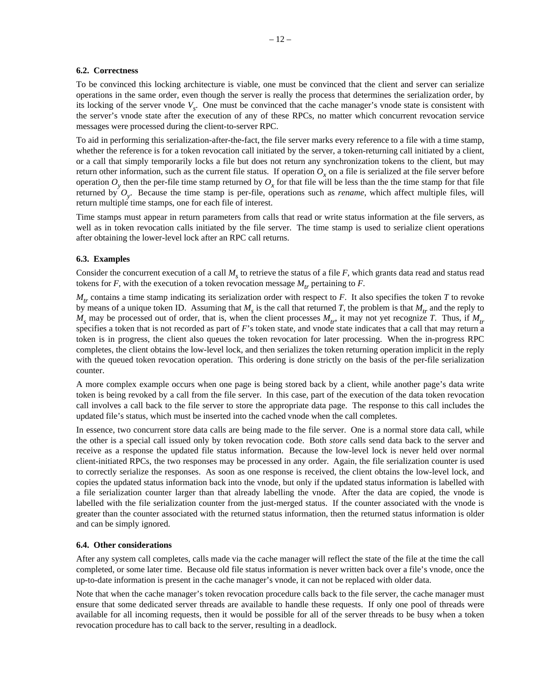#### **6.2. Correctness**

To be convinced this locking architecture is viable, one must be convinced that the client and server can serialize operations in the same order, even though the server is really the process that determines the serialization order, by its locking of the server vnode  $V_s$ . One must be convinced that the cache manager's vnode state is consistent with the server's vnode state after the execution of any of these RPCs, no matter which concurrent revocation service messages were processed during the client-to-server RPC.

To aid in performing this serialization-after-the-fact, the file server marks every reference to a file with a time stamp, whether the reference is for a token revocation call initiated by the server, a token-returning call initiated by a client, or a call that simply temporarily locks a file but does not return any synchronization tokens to the client, but may return other information, such as the current file status. If operation  $O<sub>x</sub>$  on a file is serialized at the file server before operation  $O_y$  then the per-file time stamp returned by  $O_x$  for that file will be less than the time stamp for that file returned by *Oy*. Because the time stamp is per-file, operations such as *rename*, which affect multiple files, will return multiple time stamps, one for each file of interest.

Time stamps must appear in return parameters from calls that read or write status information at the file servers, as well as in token revocation calls initiated by the file server. The time stamp is used to serialize client operations after obtaining the lower-level lock after an RPC call returns.

#### **6.3. Examples**

Consider the concurrent execution of a call  $M<sub>s</sub>$  to retrieve the status of a file *F*, which grants data read and status read tokens for  $F$ , with the execution of a token revocation message  $M_{tr}$  pertaining to  $F$ .

*Mtr* contains a time stamp indicating its serialization order with respect to *F*. It also specifies the token *T* to revoke by means of a unique token ID. Assuming that  $M<sub>s</sub>$  is the call that returned *T*, the problem is that  $M<sub>tr</sub>$  and the reply to  $M_s$  may be processed out of order, that is, when the client processes  $M_t$ , it may not yet recognize *T*. Thus, if  $M_t$ specifies a token that is not recorded as part of *F*'s token state, and vnode state indicates that a call that may return a token is in progress, the client also queues the token revocation for later processing. When the in-progress RPC completes, the client obtains the low-level lock, and then serializes the token returning operation implicit in the reply with the queued token revocation operation. This ordering is done strictly on the basis of the per-file serialization counter.

A more complex example occurs when one page is being stored back by a client, while another page's data write token is being revoked by a call from the file server. In this case, part of the execution of the data token revocation call involves a call back to the file server to store the appropriate data page. The response to this call includes the updated file's status, which must be inserted into the cached vnode when the call completes.

In essence, two concurrent store data calls are being made to the file server. One is a normal store data call, while the other is a special call issued only by token revocation code. Both *store* calls send data back to the server and receive as a response the updated file status information. Because the low-level lock is never held over normal client-initiated RPCs, the two responses may be processed in any order. Again, the file serialization counter is used to correctly serialize the responses. As soon as one response is received, the client obtains the low-level lock, and copies the updated status information back into the vnode, but only if the updated status information is labelled with a file serialization counter larger than that already labelling the vnode. After the data are copied, the vnode is labelled with the file serialization counter from the just-merged status. If the counter associated with the vnode is greater than the counter associated with the returned status information, then the returned status information is older and can be simply ignored.

#### **6.4. Other considerations**

After any system call completes, calls made via the cache manager will reflect the state of the file at the time the call completed, or some later time. Because old file status information is never written back over a file's vnode, once the up-to-date information is present in the cache manager's vnode, it can not be replaced with older data.

Note that when the cache manager's token revocation procedure calls back to the file server, the cache manager must ensure that some dedicated server threads are available to handle these requests. If only one pool of threads were available for all incoming requests, then it would be possible for all of the server threads to be busy when a token revocation procedure has to call back to the server, resulting in a deadlock.